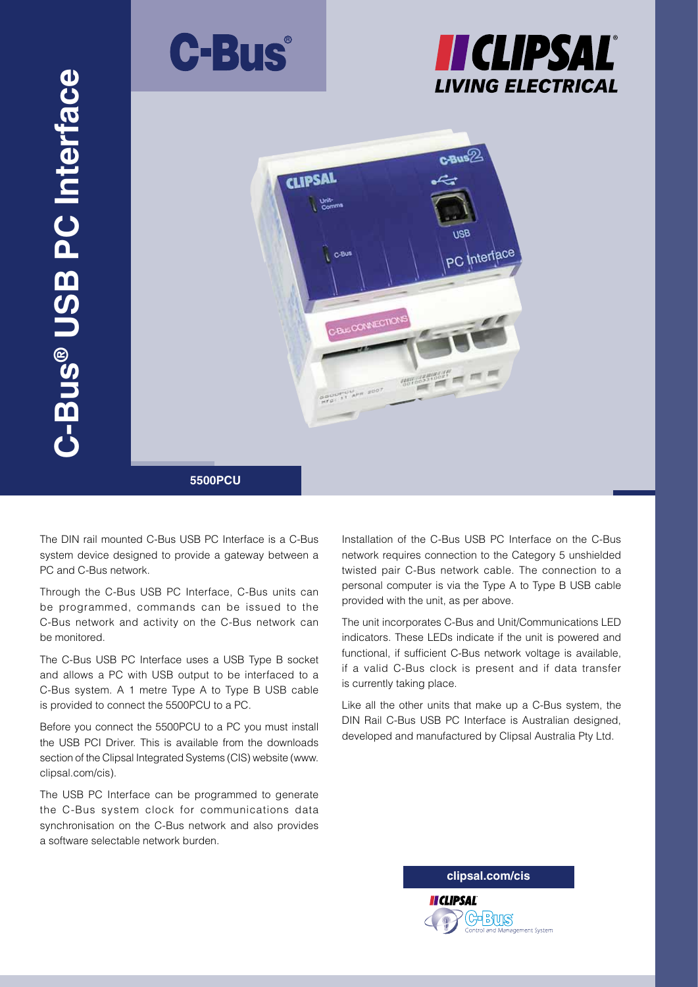





The DIN rail mounted C-Bus USB PC Interface is a C-Bus system device designed to provide a gateway between a PC and C-Bus network.

Through the C-Bus USB PC Interface, C-Bus units can be programmed, commands can be issued to the C-Bus network and activity on the C-Bus network can be monitored.

The C-Bus USB PC Interface uses a USB Type B socket and allows a PC with USB output to be interfaced to a C-Bus system. A 1 metre Type A to Type B USB cable is provided to connect the 5500PCU to a PC.

Before you connect the 5500PCU to a PC you must install the USB PCI Driver. This is available from the downloads section of the Clipsal Integrated Systems (CIS) website (www. clipsal.com/cis).

The USB PC Interface can be programmed to generate the C-Bus system clock for communications data synchronisation on the C-Bus network and also provides a software selectable network burden.

Installation of the C-Bus USB PC Interface on the C-Bus network requires connection to the Category 5 unshielded twisted pair C-Bus network cable. The connection to a personal computer is via the Type A to Type B USB cable provided with the unit, as per above.

The unit incorporates C-Bus and Unit/Communications LED indicators. These LEDs indicate if the unit is powered and functional, if sufficient C-Bus network voltage is available, if a valid C-Bus clock is present and if data transfer is currently taking place.

Like all the other units that make up a C-Bus system, the DIN Rail C-Bus USB PC Interface is Australian designed, developed and manufactured by Clipsal Australia Pty Ltd.

**clipsal.com/cis**